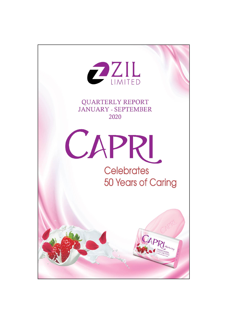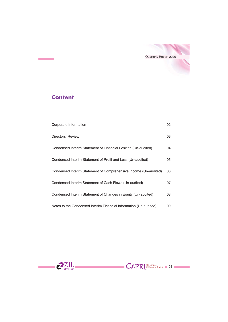# **Content**

| Corporate Information                                             | 02 |
|-------------------------------------------------------------------|----|
| Directors' Review                                                 | 03 |
| Condensed Interim Statement of Financial Position (Un-audited)    | 04 |
| Condensed Interim Statement of Profit and Loss (Un-audited)       | 05 |
| Condensed Interim Statement of Comprehensive Income (Un-audited)  | 06 |
| Condensed Interim Statement of Cash Flows (Un-audited)            | 07 |
| Condensed Interim Statement of Changes in Equity (Un-audited)     | 08 |
| Notes to the Condensed Interim Financial Information (Un-audited) | 09 |
|                                                                   |    |
|                                                                   |    |
|                                                                   |    |
|                                                                   |    |
| Celebrates<br>50 Years of Caring<br>CAF                           | 01 |
|                                                                   |    |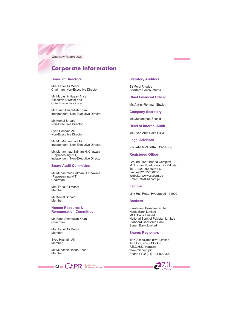# **Corporate Information**

## **Board of Directors**

Mrs. Feriel Ali Mehdi Chairman, Non-Executive Director

Mr. Mubashir Hasan Ansari **Executive Director and** Chief Executive Officer

Mr. Saad Amanullah Khan Independent, Non-Executive Director

Mr. Kemal Shoaib Non-Executive Director

Syed Hasnain Ali Non-Executive Director

Mr. Mir Muhammad Ali Independent, Non-Executive Director

Mr. Muhammad Salman H. Chawala (Representing NIT) Independent, Non-Executive Director

## **Board Audit Committee**

Mr. Muhammad Salman H. Chawala (Representing NIT) Chairman

Mrs. Feriel Ali Mehdi Member

Mr. Kemal Shoaib Memher

**Human Resource & Remuneration Committee** 

Mr. Saad Amanullah Khan Chairman

Mrs Feriel Ali Mehdi Member

Sved Hasnain Ali Member

Mr. Mubashir Hasan Ansari Member

 $\blacksquare$  02  $\blacksquare$   $\mathsf{CAPR}$  SO Years of Caring I

## **Statutory Auditors**

**EY Ford Rhodes Chartered Accountants** 

**Chief Financial Officer** 

Mr. Ata-ur-Rehman Shaikh

**Company Secretary** 

Mr. Muhammad Shahid

**Head of Internal Audit** 

Mr. Syed Abid Raza Rizvi

**Legal Advisors** 

PINJANI & VADRIA LAWYERS

## **Registered Office**

Ground Floor, Bahria Complex III, M. T. Khan Road, Karachi - Pakistan. Tel: +9221 35630251-60 Fax: +9221 35630266 Website: www.zil.com.pk Email: Info@zil.com.pk

## **Factory**

Link Hali Road, Hyderabad - 71000

## **Bankers**

BankIslami Pakistan Limited Habib Bank Limited **MCB Bank Limited** National Bank of Pakistan Limited **Standard Chartered Bank** Soneri Bank Limited

## **Shares Registrars**

THK Associates (Pvt) Limited 1st Floor, 40-C, Block-6 P.E.C.H.S., Karachi www.thk.com.pk Phone: +92 (21) 111-000-322

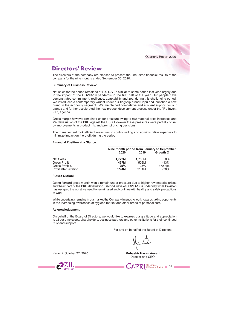## **Directors' Review**

The directors of the company are pleased to present the unaudited financial results of the company for the nine months ended September 30, 2020.

## **Summary of Business Review:**

Net sales for the period remained at Rs. 1.77Bn similar to same period last year largely due to the impact of the COVID-19 pandemic in the first half of the year. Our people have demonstrated commitment, resilience, adaptability and zeal during this challenging period. We introduced a contemporary variant under our flagship brand Capri and launched a new brand in the economy segment. We maintained competitive and efficient support for our brands and further accelerated the new product development process under the "Re-Invent ZIL", agenda.

Gross margin however remained under pressure owing to raw material price increases and 7% devaluation of the PKR against the USD. However these pressures were partially offset by improvements in product mix and prompt pricing decisions.

The management took efficient measures to control selling and administrative expenses to minimize impact on the profit during the period.

## **Financial Position at a Glance:**

|                       | Nine month period from January to September |        |            |  |
|-----------------------|---------------------------------------------|--------|------------|--|
|                       | 2020                                        | 2019   | Growth %   |  |
| Net Sales             | 1.772M                                      | 1.768M | $0\%$      |  |
| Gross Profit          | 437M                                        | 502M   | $-13%$     |  |
| Gross Profit %        | 25%                                         | 28%    | $-372$ bps |  |
| Profit after taxation | 15.4M                                       | 51.4M  | $-70%$     |  |

#### **Future Outlook:**

Going forward gross margin would remain under pressure due to higher raw material prices and the impact of the PKR devaluation. Second wave of COVID-19 is underway while Pakistan has escaped the worst we need to remain alert and continue with healthy and safety precautions at work.

While uncertainty remains in our market the Company intends to work towards taking opportunity in the increasing awareness of hygiene market and other areas of personal care.

#### Acknowledgement:

On behalf of the Board of Directors, we would like to express our gratitude and appreciation to all our employees, shareholders, business partners and other institutions for their continued trust and support.

For and on behalf of the Board of Directors

Karachi: October 27, 2020

 $7ZIL$ 

Mubashir Hasan Ansari Director and CEO

 $\textsf{CAPR}$  SO Years of Caring  $\textsf{103}$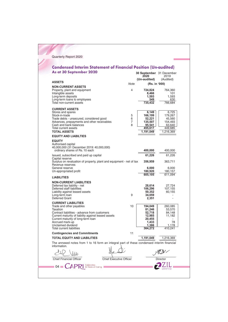#### **Condensed Interim Statement of Financial Position (Un-audited)** As at 30 September 2020 30 September 31 December

| <b>ASSETS</b><br><b>Note</b><br>(Rs. in '000)<br><b>NON-CURRENT ASSETS</b><br>Property, plant and equipment<br>4<br>724,824<br>764,360<br>Intangible assets<br>8,466<br>101<br>Long-term deposits<br>1,593<br>1,593<br>Long-term loans to employees<br>549<br>630<br>Total non-current assets<br>735,432<br>766,684<br><b>CURRENT ASSETS</b><br>Stores and spares<br>6,149<br>6,725<br>Stock-in-trade<br>5<br>166,199<br>179,267<br>Trade debts - unsecured, considered good<br>6<br>52,221<br>45,560<br>Advances, prepayments and other receivables<br>7<br>135,507<br>154,493<br>Cash and bank balances<br>8<br>95,541<br>63,640<br>Total current assets<br>455,617<br>449,685<br><b>TOTAL ASSETS</b><br>1,191,049<br>1,216,369<br><b>EQUITY AND LIABILTIES</b><br><b>EQUITY</b><br>Authorised capital<br>40,000,000 (31 December 2019: 40,000,000)<br>ordinary shares of Rs. 10 each<br>400,000<br>400,000<br>Issued, subscribed and paid up capital<br>61,226<br>61,226<br>Capital reserve<br>Surplus on revaluation of property, plant and equipment - net of tax<br>356,959<br>363,711<br>Revenue reserves<br>General reserve<br>6,000<br>6,000<br>Un-appropriated profit<br>180,920<br>180,157<br>605.105<br>611.094<br><b>LIABILITIES</b><br><b>NON-CURRENT LIABILITIES</b><br>Deferred tax liability - net<br>28,614<br>27,724<br>Deferred staff liabilities<br>106,296<br>107,155<br>Liability against leased assets<br>50,352<br>60,155<br>Long-term loan<br>9<br>34,059<br>Deferred Grant<br>2,351<br>ä,<br><b>CURRENT LIABILITIES</b><br>Trade and other payables<br>10<br>194.049<br>260,085<br>Taxation<br>81.246<br>53,570<br>Contract liabilities - advance from customers<br>52,718<br>84,148<br>Current maturity of liability against leased assets<br>12,985<br>11,182<br>Current maturity of long-term loan<br>20,455<br>Accrued mark-up<br>1,433<br>78<br>Unclaimed dividend<br>1,386<br>1,178<br><b>Total current liabilities</b><br>364,272<br>410,241<br><b>Contingencies and Commitments</b><br>11<br><b>TOTAL EQUITY AND LIABILITIES</b><br>1,191,049<br>1,216,369<br>The annexed notes from 1 to 16 form an integral part of these condensed interim financial<br>information.<br><b>Chief Financial Officer</b><br><b>Chief Executive Officer</b><br>Director |  | 2020<br>(Un-audited) | 2019<br>(Audited) |
|--------------------------------------------------------------------------------------------------------------------------------------------------------------------------------------------------------------------------------------------------------------------------------------------------------------------------------------------------------------------------------------------------------------------------------------------------------------------------------------------------------------------------------------------------------------------------------------------------------------------------------------------------------------------------------------------------------------------------------------------------------------------------------------------------------------------------------------------------------------------------------------------------------------------------------------------------------------------------------------------------------------------------------------------------------------------------------------------------------------------------------------------------------------------------------------------------------------------------------------------------------------------------------------------------------------------------------------------------------------------------------------------------------------------------------------------------------------------------------------------------------------------------------------------------------------------------------------------------------------------------------------------------------------------------------------------------------------------------------------------------------------------------------------------------------------------------------------------------------------------------------------------------------------------------------------------------------------------------------------------------------------------------------------------------------------------------------------------------------------------------------------------------------------------------------------------------------------------------------------------------------------------------------------------|--|----------------------|-------------------|
|                                                                                                                                                                                                                                                                                                                                                                                                                                                                                                                                                                                                                                                                                                                                                                                                                                                                                                                                                                                                                                                                                                                                                                                                                                                                                                                                                                                                                                                                                                                                                                                                                                                                                                                                                                                                                                                                                                                                                                                                                                                                                                                                                                                                                                                                                            |  |                      |                   |
|                                                                                                                                                                                                                                                                                                                                                                                                                                                                                                                                                                                                                                                                                                                                                                                                                                                                                                                                                                                                                                                                                                                                                                                                                                                                                                                                                                                                                                                                                                                                                                                                                                                                                                                                                                                                                                                                                                                                                                                                                                                                                                                                                                                                                                                                                            |  |                      |                   |
|                                                                                                                                                                                                                                                                                                                                                                                                                                                                                                                                                                                                                                                                                                                                                                                                                                                                                                                                                                                                                                                                                                                                                                                                                                                                                                                                                                                                                                                                                                                                                                                                                                                                                                                                                                                                                                                                                                                                                                                                                                                                                                                                                                                                                                                                                            |  |                      |                   |
|                                                                                                                                                                                                                                                                                                                                                                                                                                                                                                                                                                                                                                                                                                                                                                                                                                                                                                                                                                                                                                                                                                                                                                                                                                                                                                                                                                                                                                                                                                                                                                                                                                                                                                                                                                                                                                                                                                                                                                                                                                                                                                                                                                                                                                                                                            |  |                      |                   |
|                                                                                                                                                                                                                                                                                                                                                                                                                                                                                                                                                                                                                                                                                                                                                                                                                                                                                                                                                                                                                                                                                                                                                                                                                                                                                                                                                                                                                                                                                                                                                                                                                                                                                                                                                                                                                                                                                                                                                                                                                                                                                                                                                                                                                                                                                            |  |                      |                   |
|                                                                                                                                                                                                                                                                                                                                                                                                                                                                                                                                                                                                                                                                                                                                                                                                                                                                                                                                                                                                                                                                                                                                                                                                                                                                                                                                                                                                                                                                                                                                                                                                                                                                                                                                                                                                                                                                                                                                                                                                                                                                                                                                                                                                                                                                                            |  |                      |                   |
|                                                                                                                                                                                                                                                                                                                                                                                                                                                                                                                                                                                                                                                                                                                                                                                                                                                                                                                                                                                                                                                                                                                                                                                                                                                                                                                                                                                                                                                                                                                                                                                                                                                                                                                                                                                                                                                                                                                                                                                                                                                                                                                                                                                                                                                                                            |  |                      |                   |
|                                                                                                                                                                                                                                                                                                                                                                                                                                                                                                                                                                                                                                                                                                                                                                                                                                                                                                                                                                                                                                                                                                                                                                                                                                                                                                                                                                                                                                                                                                                                                                                                                                                                                                                                                                                                                                                                                                                                                                                                                                                                                                                                                                                                                                                                                            |  |                      |                   |
|                                                                                                                                                                                                                                                                                                                                                                                                                                                                                                                                                                                                                                                                                                                                                                                                                                                                                                                                                                                                                                                                                                                                                                                                                                                                                                                                                                                                                                                                                                                                                                                                                                                                                                                                                                                                                                                                                                                                                                                                                                                                                                                                                                                                                                                                                            |  |                      |                   |
|                                                                                                                                                                                                                                                                                                                                                                                                                                                                                                                                                                                                                                                                                                                                                                                                                                                                                                                                                                                                                                                                                                                                                                                                                                                                                                                                                                                                                                                                                                                                                                                                                                                                                                                                                                                                                                                                                                                                                                                                                                                                                                                                                                                                                                                                                            |  |                      |                   |
|                                                                                                                                                                                                                                                                                                                                                                                                                                                                                                                                                                                                                                                                                                                                                                                                                                                                                                                                                                                                                                                                                                                                                                                                                                                                                                                                                                                                                                                                                                                                                                                                                                                                                                                                                                                                                                                                                                                                                                                                                                                                                                                                                                                                                                                                                            |  |                      |                   |
|                                                                                                                                                                                                                                                                                                                                                                                                                                                                                                                                                                                                                                                                                                                                                                                                                                                                                                                                                                                                                                                                                                                                                                                                                                                                                                                                                                                                                                                                                                                                                                                                                                                                                                                                                                                                                                                                                                                                                                                                                                                                                                                                                                                                                                                                                            |  |                      |                   |
| Celebrates<br>04                                                                                                                                                                                                                                                                                                                                                                                                                                                                                                                                                                                                                                                                                                                                                                                                                                                                                                                                                                                                                                                                                                                                                                                                                                                                                                                                                                                                                                                                                                                                                                                                                                                                                                                                                                                                                                                                                                                                                                                                                                                                                                                                                                                                                                                                           |  |                      |                   |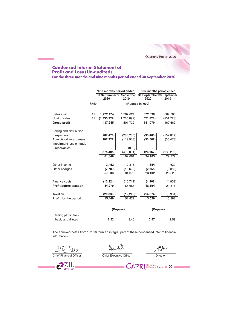# **Condensed Interim Statement of Profit and Loss (Un-audited)**

For the three months and nine months period ended 30 September 2020

Quarterly Report 2020

|                                                                                                           |    | Nine months period ended       |               | Three months period ended                                   |            |
|-----------------------------------------------------------------------------------------------------------|----|--------------------------------|---------------|-------------------------------------------------------------|------------|
|                                                                                                           |    | 2020                           | 2019          | 30 September 30 September 30 September 30 September<br>2020 | 2019       |
|                                                                                                           |    | Note -------                   |               | ------------------- (Rupees in '000) ------------           |            |
| Sales - net                                                                                               | 12 | 1,772,474                      | 1,767,624     | 672,898                                                     | 669,385    |
| Cost of sales                                                                                             | 13 | (1, 335, 229)                  | (1, 265, 892) | (521, 828)                                                  | (501, 723) |
| <b>Gross profit</b>                                                                                       |    | 437.245                        | 501.732       | 151,070                                                     | 167,662    |
| Selling and distribution                                                                                  |    |                                |               |                                                             |            |
| expenses                                                                                                  |    | (267, 478)                     | (288, 280)    | (93, 460)                                                   | (102, 817) |
| Administrative expenses<br>Impairment loss on trade                                                       |    | (107, 927)                     | (119, 913)    | (33, 507)                                                   | (35, 473)  |
| receivables                                                                                               |    |                                | (858)         |                                                             |            |
|                                                                                                           |    | (375, 405)                     | (409, 051)    | (126, 967)                                                  | (138, 290) |
|                                                                                                           |    | 61,840                         | 92,681        | 24,103                                                      | 29,372     |
| Other income                                                                                              |    | 3,452                          | 2,318         | 1,854                                                       | 639        |
| Other charges                                                                                             |    | (7, 789)                       | (10,623)      | (2, 855)                                                    | (3,386)    |
|                                                                                                           |    | 57,503                         | 84.376        | 23.102                                                      | 26,625     |
| Finance costs                                                                                             |    | (13, 224)                      | (15, 711)     | (4,908)                                                     | (4,809)    |
| <b>Profit before taxation</b>                                                                             |    | 44.279                         | 68.665        | 18.194                                                      | 21.816     |
| Taxation                                                                                                  |    | (28, 839)                      | (17, 243)     | (14, 674)                                                   | (5,934)    |
| Profit for the period                                                                                     |    | 15,440                         | 51,422        | 3,520                                                       | 15,882     |
|                                                                                                           |    |                                | (Rupees)      | (Rupees)                                                    |            |
| Earning per share -                                                                                       |    |                                |               |                                                             |            |
| basic and diluted                                                                                         |    | 2.52                           | 8.40          | 0.57                                                        | 2.59       |
| The annexed notes from 1 to 16 form an integral part of these condensed interim financial<br>information. |    |                                |               |                                                             |            |
|                                                                                                           |    |                                |               |                                                             |            |
| Chief Financial Officer                                                                                   |    | <b>Chief Executive Officer</b> |               |                                                             | Director   |

 $2Z_{\text{IMITED}}$ 

 $\mathbb{C}$  APRL SO Years of Caring  $\blacksquare$  05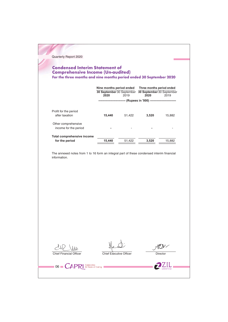# **Condensed Interim Statement of<br>Comprehensive Income (Un-audited)**<br>For the three months and nine months period ended 30 September 2020

|                                              | Nine months period ended<br>30 September 30 September<br>2020 | 2019   | Three months period ended<br>30 September 30 September<br>2020 | 2019   |  |
|----------------------------------------------|---------------------------------------------------------------|--------|----------------------------------------------------------------|--------|--|
|                                              | --------------------                                          |        | -- (Rupees in '000) ---------------------------                |        |  |
| Profit for the period<br>after taxation      | 15,440                                                        | 51,422 | 3.520                                                          | 15,882 |  |
| Other comprehensive<br>income for the period |                                                               |        |                                                                |        |  |
| Total comprehensive income<br>for the period | 15.440                                                        | 51.422 | 3.520                                                          | 15.882 |  |

The annexed notes from 1 to 16 form an integral part of these condensed interim financial information.

 $242$  Ww. Chief Financial Officer

06 CAPR SO Years of Caring

Chief Executive Officer

 $M_{\odot}$ Director

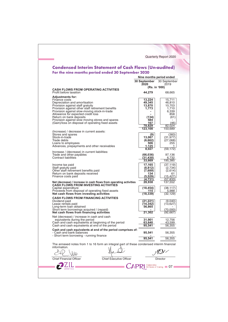|                                                                                                        |                          | Quarterly Report 2020                      |
|--------------------------------------------------------------------------------------------------------|--------------------------|--------------------------------------------|
| <b>Condensed Interim Statement of Cash Flows (Un-audited)</b>                                          |                          |                                            |
| For the nine months period ended 30 September 2020                                                     |                          |                                            |
|                                                                                                        | Nine months period ended |                                            |
|                                                                                                        | <b>30 September</b>      | 30 September                               |
|                                                                                                        | 2020<br>(Rs. in '000)    | 2019                                       |
| <b>CASH FLOWS FROM OPERATING ACTIVITIES</b><br>Profit before taxation                                  | 44,279                   | 68,665                                     |
| <b>Adjustments for:</b><br>Finance costs                                                               | 13,224                   | 15,711                                     |
| Depreciation and amortisation                                                                          | 49,345                   | 46,810                                     |
| Provision against staff gratuity<br>Provision against other staff retirement benefits                  | 13,870<br>1,773          | 10,703<br>1,710                            |
| Provision against slow-moving stock-in-trade<br>Allowance for expected credit loss                     |                          | 6,339<br>858                               |
| Return on bank deposits<br>Provision against slow moving stores and spares                             | (134)<br>584             | (61)                                       |
| (Gain)/loss on disposal of operating fixed assets                                                      | 167<br>78,829            | (46)<br>82,024                             |
|                                                                                                        | 123,108                  | 150,689                                    |
| (Increase) / decrease in current assets:<br>Stores and spares                                          | (9)                      | (383)                                      |
| Stock-in-trade<br>Trade debts                                                                          | 13,067<br>(6,662)        | (31, 977)<br>(27,068)                      |
| Loans to employees<br>Advances, prepayments and other receivables                                      | 506<br>1,125             | 255<br>1.                                  |
| Increase / (decrease) in current liabilities:                                                          | 8,027                    | (59.172)                                   |
| Trade and other payables<br>Contract liabilities                                                       | (66,036)<br>(31,430)     | 97,136<br>6,732                            |
|                                                                                                        | 33,669                   | 195,385                                    |
| Income tax paid<br>Staff gratuity paid                                                                 | 17,165<br>(8, 812)       | (37, 119)<br>(2,734)                       |
| Other staff retirement benefits paid<br>Return on bank deposits received                               | (7,689)<br>134           | (2,614)<br>61                              |
| Finance costs paid                                                                                     | (5, 529)                 | (15,427)                                   |
| Net (decrease) / increase in cash flows from operating activities                                      | (4.731)<br>28,938        | (57,833)<br>137,552                        |
| <b>CASH FLOWS FROM INVESTING ACTIVITIES</b><br>Capital expenditure                                     | (18, 454)                | (38,117)                                   |
| Proceeds from disposal of operating fixed assets<br>Net cash flows from investing activities           | 115<br>(18, 339)         | 5.988<br>(32,129)                          |
| <b>CASH FLOWS FROM FINANCING ACTIVITIES</b><br>Dividend paid                                           |                          | (9,040)                                    |
| Lease rentals paid                                                                                     | (21,221)<br>(14,342)     | (13,627)                                   |
| Long-term loan obtained<br>Short term borrowings acquired / (repaid)                                   | 56,865                   | (70,000)                                   |
| Net cash flows from financing activities                                                               | 21,302                   | (92, 667)                                  |
| Net (decrease) / increase in cash and cash<br>equivalents during the period                            | 31,901                   | 12,756                                     |
| Cash and cash equivalents at beginning of the period<br>Cash and cash equivalents at end of the period | 63,640<br>95,541         | 43,599<br>56,355                           |
| Cash and cash equivalents at end of the period comprises of:<br>- Cash and bank balances               | 95,541                   | 56,355                                     |
| - Short term borrowing - running finance                                                               | 95,541                   | 56,355                                     |
| The annexed notes from 1 to 16 form an integral part of these condensed interim financial              |                          |                                            |
| information.                                                                                           |                          |                                            |
|                                                                                                        |                          |                                            |
| <b>Chief Executive Officer</b><br><b>Chief Financial Officer</b>                                       |                          | Director                                   |
|                                                                                                        |                          | Celebrates<br>50 Years of Caring <b>07</b> |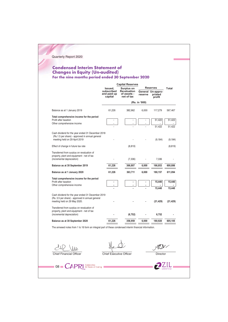# **Condensed Interim Statement of<br>Changes in Equity (Un-audited)**<br>For the nine months period ended 30 September 2020

|                                                                                                                                       | <b>Capital Reserves</b>                         |                                                               |               | <b>Reserves</b>                        | Total     |
|---------------------------------------------------------------------------------------------------------------------------------------|-------------------------------------------------|---------------------------------------------------------------|---------------|----------------------------------------|-----------|
|                                                                                                                                       | Issued,<br>subscribed<br>and paid up<br>capital | Surplus on<br><b>Revaluation</b><br>of assets -<br>net of tax | reserve       | General Un-appro-<br>priated<br>profit |           |
|                                                                                                                                       |                                                 |                                                               | (Rs. in '000) |                                        |           |
| Balance as at 1 January 2019                                                                                                          | 61,226                                          | 382,962                                                       | 6.000         | 117,279                                | 567,467   |
| Total comprehensive income for the period<br>Profit after taxation                                                                    |                                                 |                                                               |               | 51,422                                 | 51,422    |
| Other comprehensive income                                                                                                            |                                                 |                                                               |               |                                        |           |
|                                                                                                                                       |                                                 |                                                               |               | 51,422                                 | 51,422    |
| Cash dividend for the year ended 31 December 2018<br>(Rs.1.5 per share) - approved in annual general                                  |                                                 |                                                               |               |                                        |           |
| meeting held on 29 April 2019                                                                                                         |                                                 |                                                               |               | (9, 184)                               | (9, 184)  |
| Effect of change in future tax rate                                                                                                   |                                                 | (8, 819)                                                      |               |                                        | (8, 819)  |
| Transferred from surplus on revaluation of<br>property, plant and equipment - net of tax<br>(incremental depreciation)                |                                                 | (7, 336)                                                      |               | 7,336                                  |           |
|                                                                                                                                       |                                                 |                                                               |               |                                        |           |
| Balance as at 30 September 2019                                                                                                       | 61,226                                          | 366,807                                                       | 6,000         | 166,853                                | 600,886   |
| Balance as at 1 January 2020                                                                                                          | 61,226                                          | 363,711                                                       | 6,000         | 180,157                                | 611,094   |
| Total comprehensive income for the period                                                                                             |                                                 |                                                               |               |                                        |           |
| Profit after taxation<br>Other comprehensive income                                                                                   |                                                 |                                                               |               | 15,440                                 | 15,440    |
|                                                                                                                                       |                                                 |                                                               |               | 15.440                                 | 15,440    |
| Cash dividend for the year ended 31 December 2019<br>(Rs. 3.5 per share) - approved in annual general<br>meeting held on 29 May 2020. |                                                 |                                                               |               | (21, 429)                              | (21, 429) |
| Transferred from surplus on revaluation of                                                                                            |                                                 |                                                               |               |                                        |           |
| property, plant and equipment - net of tax<br>(incremental depreciation)                                                              |                                                 | (6, 752)                                                      |               | 6,752                                  |           |
| Balance as at 30 September 2020                                                                                                       | 61.226                                          | 356,959                                                       | 6.000         | 180,920                                | 605,105   |
| The annexed notes from 1 to 16 form an integral part of these condensed interim financial information.                                |                                                 |                                                               |               |                                        |           |
|                                                                                                                                       |                                                 |                                                               |               |                                        |           |
| <b>Chief Financial Officer</b>                                                                                                        | <b>Chief Executive Officer</b>                  |                                                               |               | Director                               |           |
| Celebrates                                                                                                                            |                                                 |                                                               |               |                                        |           |
| 08<br>50 Years of Caring                                                                                                              |                                                 |                                                               |               |                                        |           |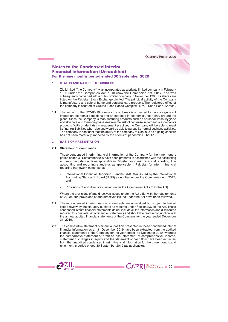## **Notes to the Condensed Interim Financial Information (Un-audited)** For the nine months period ended 30 September 2020

#### **STATUS AND NATURE OF BUSINESS**  $\blacktriangleleft$

ZIL Limited ("the Company") was incorporated as a private limited company in February 1960 under the Companies Act, 1913 (now the Companies Act, 2017) and was subsequently converted into a public limited company in November 1986. Its shares are listed on the Pakistan Stock Exchange Limited. The principal activity of the Company is manufacture and sale of home and personal care products. The registered office of the company is situated at Ground Floor, Bahria Complex III, M.T. Khan Road, Karachi.

The impact of the COVID-19 coronavirus outbreak is expected to have a significant  $11$ impact on economic conditions and an increase in economic uncertainty around the globe. Since the Company is manufacturing products such as personal wash, hygiene and skin care and therefore possesses minimal risk of decrease in demand of Company's products. With prudent risk management practice, the Company will be able to meet its financial liabilities when due and would be able to pursue its normal business activities. The company is confident that the ability of the company to Continue as a going concern has not been materially impacted by the effects of pandemic COVID-19.

#### $\overline{2}$ **BASIS OF PRESENTATION**

### 2.1 Statement of compliance

 $2ZIL$ 

These condensed interim financial information of the Company for the nine months period ended 30 September 2020 have been prepared in accordance with the accounting and reporting standards as applicable in Pakistan for interim financial reporting. The accounting and reporting standards as applicable in Pakistan for interim financial reporting framework comprise of:

- International Financial Reporting Standard (IAS 34) issued by the International Accounting Standard Board (IASB) as notified under the Companies Act, 2017; and
- Provisions of and directives issued under the Companies Act 2017 (the Act).

Where the provisions of and directives issued under the Act differ with the requirements of IAS 34, the provisions of and directives issued under the Act have been followed.

- 2.2 These condensed interim financial statements are un-audited but subject to limited scope review by the statutory auditors as required under Section 237 of the Act. These condensed interim financial statements do not include all the information and disclosures required for complete set of financial statements and should be read in conjunction with the annual audited financial statements of the Company for the year ended December 31, 2019.
- $23$ The comparative statement of financial position presented in these condensed interim financial information as at 31 December 2019 have been extracted from the audited financial statements of the Company for the year ended 31 December 2019, whereas the comparative statement of profit or loss, statement of comprehensive income, statement of changes in equity and the statement of cash flow have been extracted from the unaudited condensed interim financial information for the three months and nine months period ended 30 September 2019 (as applicable).

**CAPRI** So Years of Caring **19 09**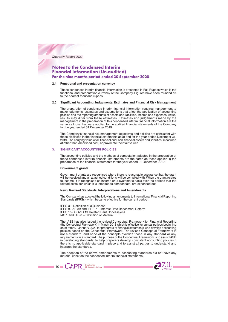## **Notes to the Condensed Interim Financial Information (Un-audited)** For the nine months period ended 30 September 2020

#### 2.4 Functional and presentation currency

These condensed interim financial information is presented in Pak Rupees which is the functional and presentation currency of the Company. Figures have been rounded off to the nearest thousand rupees

## 2.5 Significant Accounting Judgements, Estimates and Financial Risk Management

The preparation of condensed interim financial information requires management to make judgments, estimates and assumptions that affect the application of accounting policies and the reporting amounts of assets and liabilities, income and expenses. Actual results may differ from these estimates. Estimates and judgements made by the management in the preparation of this condensed interim financial information are the same as those that were applied to the audited financial statements of the Company for the year ended 31 December 2019.

The Company's financial risk management objectives and policies are consistent with those disclosed in the financial statements as at and for the year ended December 31, 2019. The carrying value of all financial and non-financial assets and liabilities, measured at other than amortised cost, approximate their fair values.

#### **SIGNIFICANT ACCOUNTING POLICIES**  $3<sub>l</sub>$

The accounting policies and the methods of computation adopted in the preparation of these condensed interim financial statements are the same as those applied in the preparation of the financial statements for the year ended 31 December 2019:

#### **Government grants**

 $\blacksquare$  10  $\blacksquare$   $\mathsf{CAPR}$  SO Years of Caring I

Government grants are recognised where there is reasonable assurance that the grant will be received and all attached conditions will be complied with. When the grant relates to income, it is recognised as income on a systematic basis over the periods that the related costs, for which it is intended to compensate, are expensed out.

## New / Revised Standards, Interpretations and Amendments

The Company has adopted the following amendments to International Financial Reporting Standards (IFRSs) which became effective for the current period:

IFRS 3 - Definition of a Business IFRS 9, IAS 39 and IFRS 7 - Interest Rate Benchmark Reform IFRS 16 - COVID 19 Related Rent Concessions IAS 1 and IAS 8 - Definition of Material

The IASB has also issued the revised Conceptual Framework for Financial Reporting (the Conceptual Framework) in March 2018 which is effective for annual periods beginning on or after 01 January 2020 for preparers of financial statements who develop accounting policies based on the Conceptual Framework. The revised Conceptual Framework is not a standard, and none of the concepts override those in any standard or any requirements in a standard. The purpose of the Conceptual Framework is to assist IASB in developing standards, to help preparers develop consistent accounting policies if there is no applicable standard in place and to assist all parties to understand and interpret the standards.

The adoption of the above amendments to accounting standards did not have any material effect on the condensed interim financial statements.

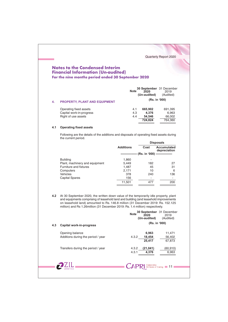## **Notes to the Condensed Interim Financial Information (Un-audited)** For the nine months period ended 30 September 2020

|     |                                      | <b>Note</b> | 2020<br>(Un-audited) | 30 September 31 December<br>2019<br>(Audited) |
|-----|--------------------------------------|-------------|----------------------|-----------------------------------------------|
| -4. | <b>PROPERTY, PLANT AND EQUIPMENT</b> |             | (Rs. in '000)        |                                               |
|     | Operating fixed assets               | 4.1         | 665,902              | 691,395                                       |
|     | Capital work-in-progress             | 4.3         | 4.376                | 6,963                                         |
|     | Right of use assets                  | 4.4         | 54.546               | 66,002                                        |
|     |                                      |             | 724.824              | 764.360                                       |

Quarterly Report 2020

## 4.1 Operating fixed assets

Following are the details of the additions and disposals of operating fixed assets during the current period.

|                                |                  |               | <b>Disposals</b>            |
|--------------------------------|------------------|---------------|-----------------------------|
|                                | <b>Additions</b> | Cost          | Accumulated<br>depreciation |
|                                |                  | (Rs. in '000) |                             |
| <b>Building</b>                | 1,860            |               |                             |
| Plant, machinery and equipment | 5,449            | 182           | 27                          |
| Furniture and fixtures         | 1,487            | 45            | 31                          |
| Computers                      | 2,171            | 10            | 6                           |
| <b>Vehicles</b>                | 378              | 240           | 136                         |
| <b>Capital Spares</b>          | 156              | ۰             |                             |
|                                | 11,501           | 477           | 200                         |

4.2 At 30 September 2020, the written down value of the temporarily idle property, plant and equipments comprising of leasehold land and building (and leasehold improvements on leasehold land) amounted to Rs. 146.8 million (31 December 2019: Rs. 152.125 million) and Rs 1.26million (31 December 2019: Rs. 1.4 million) respectively.

|     |                                                       | 30 September 31 December<br><b>Note</b><br>2020<br>2019<br>(Un-audited)<br>(Audited) |
|-----|-------------------------------------------------------|--------------------------------------------------------------------------------------|
| 4.3 | Capital work-in-progress                              | (Rs. in '000)                                                                        |
|     | Opening balance<br>Additions during the period / year | 6,963<br>11,471<br>18,454<br>4.3.2<br>56,402<br>25,417<br>67,873                     |
|     | Transfers during the period / year                    | (60, 910)<br>4.3.2<br>(21, 041)<br>4,376<br>6,963<br>4.3.1                           |
|     |                                                       | CAP<br>Celebrates<br>50 Years of Caring <b>11</b>                                    |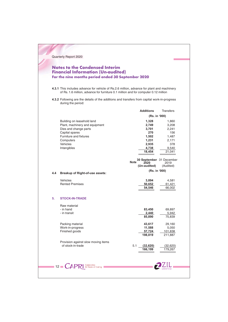## **Notes to the Condensed Interim Financial Information (Un-audited)** For the nine months period ended 30 September 2020

4.3.1 This includes advance for vehicle of Rs.2.6 million, advance for plant and machinery of Rs. 1.6 million, advance for furniture 0.1 million and for computer 0.12 million

4.3.2 Following are the details of the additions and transfers from capital work-in-progress during the period:

|     |                                                                         | <b>Additions</b>                                                | <b>Transfers</b>  |
|-----|-------------------------------------------------------------------------|-----------------------------------------------------------------|-------------------|
|     |                                                                         | (Rs. in '000)                                                   |                   |
|     | Building on leasehold land                                              | 1,328                                                           | 1,860             |
|     | Plant, machinery and equipment                                          | 2,749                                                           | 3,208             |
|     | Dies and change parts                                                   | 3,701                                                           | 2,241             |
|     | Capital spares                                                          | 270                                                             | 156               |
|     | Furniture and fixtures                                                  | 1,502                                                           | 1,487             |
|     | Computers                                                               | 1,231                                                           | 2,171             |
|     | Vehicles                                                                | 2,935                                                           | 378               |
|     | Intangibles                                                             | 4,738                                                           | 9,540             |
|     |                                                                         | 18,454                                                          | 21,041            |
|     |                                                                         |                                                                 |                   |
|     |                                                                         | 30 September 31 December<br><b>Note</b><br>2020<br>(Un-audited) | 2019<br>(Audited) |
|     |                                                                         | (Rs. in '000)                                                   |                   |
| 4.4 | <b>Breakup of Right-of-use assets:</b>                                  |                                                                 |                   |
|     | <b>Vehicles</b>                                                         | 3,894                                                           | 4,581             |
|     | <b>Rented Premises</b>                                                  | 50,652                                                          | 61,421            |
|     |                                                                         | 54,546                                                          | 66,002            |
|     |                                                                         |                                                                 |                   |
| 5.  | <b>STOCK-IN-TRADE</b>                                                   |                                                                 |                   |
|     | Raw material                                                            |                                                                 |                   |
|     | - in hand                                                               | 83,450                                                          | 69,897            |
|     | - in transit                                                            | 2,440                                                           | 5,942             |
|     |                                                                         | 85,890                                                          | 75,839            |
|     |                                                                         |                                                                 |                   |
|     | Packing material                                                        | 43,617                                                          | 29,160            |
|     | Work-in-progress                                                        | 11,588                                                          | 5,050             |
|     | Finished goods                                                          | 57,724                                                          | 101,838           |
|     |                                                                         | 198,819                                                         | 211,887           |
|     | Provision against slow moving items                                     |                                                                 |                   |
|     | of stock-in-trade                                                       | 5.1<br>(32, 620)                                                | (32,620)          |
|     |                                                                         | 166,199                                                         | 179,267           |
|     |                                                                         |                                                                 |                   |
|     | Celebrates<br>50 Years of Caring<br>$12 \blacksquare$<br>$\mathsf{CAP}$ |                                                                 |                   |
|     |                                                                         |                                                                 |                   |
|     |                                                                         |                                                                 |                   |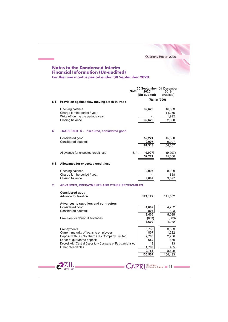|     | <b>Notes to the Condensed Interim</b><br><b>Financial Information (Un-audited)</b><br>For the nine months period ended 30 September 2020                                                                                  |                                                  | Quarterly Report 2020                       |
|-----|---------------------------------------------------------------------------------------------------------------------------------------------------------------------------------------------------------------------------|--------------------------------------------------|---------------------------------------------|
|     | <b>Note</b>                                                                                                                                                                                                               | 30 September 31 December<br>2020<br>(Un-audited) | 2019<br>(Audited)                           |
| 5.1 | Provision against slow moving stock-in-trade                                                                                                                                                                              | (Rs. in '000)                                    |                                             |
|     | Opening balance<br>Charge for the period / year<br>Write off during the period / year<br>Closing balance                                                                                                                  | 32,620<br>32,620                                 | 16,363<br>14,265<br>1,992<br>32,620         |
| 6.  | <b>TRADE DEBTS - unsecured, considered good</b>                                                                                                                                                                           |                                                  |                                             |
|     | Considered good<br>Considered doubtful                                                                                                                                                                                    | 52,221<br>9,097<br>61,318                        | 45,560<br>9,097<br>54,657                   |
|     | Allowance for expected credit loss                                                                                                                                                                                        | 6.1<br>(9,097)<br>52,221                         | (9,097)<br>45,560                           |
| 6.1 | Allowance for expected credit loss:                                                                                                                                                                                       |                                                  |                                             |
| 7.  | Opening balance<br>Charge for the period / year<br>Closing balance<br><b>ADVANCES, PREPAYMENTS AND OTHER RECEIVABLES</b>                                                                                                  | 9,097<br>9,097                                   | 8,239<br>858<br>9,097                       |
|     | <b>Considered good</b>                                                                                                                                                                                                    |                                                  |                                             |
|     | Advance for taxation                                                                                                                                                                                                      | 124,122                                          | 141,562                                     |
|     | Advances to suppliers and contractors<br>Considered good<br>Considered doubtful                                                                                                                                           | 1,602<br>803<br>2,405                            | 4,232<br>803<br>5,035                       |
|     | Provision for doubtful advances                                                                                                                                                                                           | (803)<br>1,602                                   | (803)<br>4,232                              |
|     | Prepayments<br>Current maturity of loans to employees<br>Deposit with Sui Southern Gas Company Limited<br>Letter of guarantee deposit<br>Deposit with Central Depository Company of Pakistan Limited<br>Other receivables | 3,738<br>807<br>2,786<br>650<br>13<br>1,789      | 3,563<br>1,232<br>2,786<br>650<br>13<br>455 |
|     |                                                                                                                                                                                                                           | 9,783<br>135,507                                 | 8,699<br>154,493                            |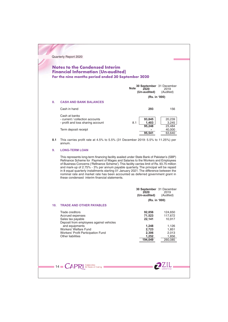## **Notes to the Condensed Interim Financial Information (Un-audited)** For the nine months period ended 30 September 2020

|    |                                                                                       | <b>Note</b><br>2020<br>(Un-audited) | 30 September 31 December<br>2019<br>(Audited) |  |  |
|----|---------------------------------------------------------------------------------------|-------------------------------------|-----------------------------------------------|--|--|
|    |                                                                                       |                                     | (Rs. in '000)                                 |  |  |
| 8. | <b>CASH AND BANK BALANCES</b>                                                         |                                     |                                               |  |  |
|    | Cash in hand                                                                          | 293                                 | 156                                           |  |  |
|    | Cash at banks<br>- current / collection accounts<br>- profit and loss sharing account | 93,845<br>1.403<br>8.1<br>95,248    | 20,239<br>3,245<br>23,484                     |  |  |
|    | Term deposit receipt                                                                  | 95,541                              | 40,000<br>63,640                              |  |  |

8.1 This carries profit rate at 4.5% to 5.5% (31 December 2019: 5.5% to 11.25%) per annum.

#### $9.$ **LONG-TERM LOAN**

This represents long-term financing facility availed under State Bank of Pakistan's (SBP) Refinance Scheme for Payment of Wages and Salaries to the Workers and Employees of Business Concerns ('Refinance Scheme'). This facility carries limit of Rs. 93.75 million or business continuously continuously in the temperature of 2.75% - 3% per annum payable quarterly. The principal will be repaid in 8 equal quarterly installments starting 01 January 2021. The difference between the nomina these condensed interim financial statements.

|                                                                                                                                                                                                                                                     | 30 September 31 December<br>2020<br>2019<br>(Un-audited)<br>(Audited)<br>(Rs. in '000)                                                                   |
|-----------------------------------------------------------------------------------------------------------------------------------------------------------------------------------------------------------------------------------------------------|----------------------------------------------------------------------------------------------------------------------------------------------------------|
| 10.<br><b>TRADE AND OTHER PAYABLES</b><br>Trade creditors<br>Accrued expenses<br>Sales tax payable<br>Deposit from employees against vehicles<br>and equipments<br>Workers' Welfare Fund<br>Workers' Profit Participation Fund<br>Other liabilities | 92,856<br>124,650<br>71,523<br>117,672<br>22,141<br>10,917<br>1,248<br>1,126<br>2,723<br>1,851<br>2,306<br>2,013<br>1,252<br>1,856<br>194,049<br>260,085 |
| 14 CAPRI SO Years of Caring                                                                                                                                                                                                                         |                                                                                                                                                          |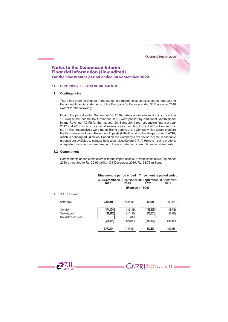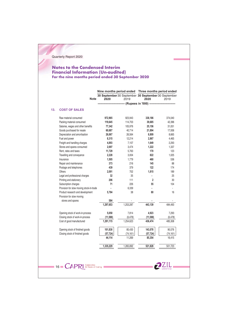## **Notes to the Condensed Interim Financial Information (Un-audited)** For the nine months period ended 30 September 2020

|     |                                                               |           |           | 30 September 30 September 30 September 30 September |           |
|-----|---------------------------------------------------------------|-----------|-----------|-----------------------------------------------------|-----------|
|     | <b>Note</b>                                                   | 2020      | 2019      | 2020                                                | 2019      |
|     |                                                               |           |           | ------- (Rupees in '000) -----------                |           |
| 13. | <b>COST OF SALES</b>                                          |           |           |                                                     |           |
|     | Raw material consumed                                         | 972,965   | 923,943   | 338,186                                             | 374,040   |
|     | Packing material consumed                                     | 119,645   | 114,703   | 39,685                                              | 42,396    |
|     | Salaries, wages and other benefits                            | 77,342    | 105,976   | 25,156                                              | 31,051    |
|     | Goods purchased for resale                                    | 60,687    | 40,714    | 21,894                                              | 17,936    |
|     | Depreciation and amortisation                                 | 26,067    | 26,564    | 8,809                                               | 8,665     |
|     | Fuel and power                                                | 8,315     | 12,214    | 2,867                                               | 4,465     |
|     | Freight and handling charges                                  | 4,893     | 7,107     | 1,649                                               | 2,293     |
|     | Stores and spares consumed                                    | 2,697     | 3,474     | 1,222                                               | 1,337     |
|     | Rent, rates and taxes                                         | 11,729    | 5,763     | 170                                                 | 123       |
|     | Travelling and conveyance                                     | 2,228     | 3,004     | 822                                                 | 1,025     |
|     | Insurance                                                     | 1,505     | 1,779     | 460                                                 | 536       |
|     | Repair and maintenance                                        | 373       | 216       | 145                                                 | 88        |
|     | Postage and telephones                                        | 439       | 379       | 122                                                 | 174       |
|     | Others                                                        | 2,091     | 702       | 1,815                                               | 189       |
|     | Legal and professional charges                                | 32        | 35        | ×.                                                  | 25        |
|     | Printing and stationery                                       | 206       | 111       | $\overline{2}$                                      | 30        |
|     | Subscription charges                                          | 71        | 226       | 55                                                  | 104       |
|     | Provision for slow moving stock-in-trade                      |           | 6.339     |                                                     |           |
|     | Product research and development<br>Provision for slow moving | 5,784     | 38        | 80                                                  | 16        |
|     | stores and spares                                             | 584       |           |                                                     |           |
|     |                                                               | 1,297,653 | 1,253,287 | 443,139                                             | 484,493   |
|     | Opening stock of work-in-process                              | 5,050     | 7,814     | 4,923                                               | 7,293     |
|     | Closing stock of work-in-process                              | (11, 588) | (6, 478)  | (11, 588)                                           | (6, 478)  |
|     | Cost of good manufactured                                     | 1,291,115 | 1,254,623 | 436,474                                             | 485,308   |
|     | Opening stock of finished goods                               | 101,838   | 85,430    | 143,078                                             | 90,576    |
|     | Closing stock of finished goods                               | (57, 724) | (74, 161) | (57, 724)                                           | (74, 161) |
|     |                                                               | 44,114    | 11,269    | 85,354                                              | 16,415    |
|     |                                                               | 1,335,229 | 1,265,892 | 521,828                                             | 501,723   |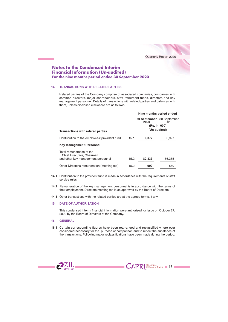| 14. |                                                                                                                                                                                                                                                                                                                                                            | <b>Financial Information (Un-audited)</b>                                             |        |                                  |
|-----|------------------------------------------------------------------------------------------------------------------------------------------------------------------------------------------------------------------------------------------------------------------------------------------------------------------------------------------------------------|---------------------------------------------------------------------------------------|--------|----------------------------------|
|     | For the nine months period ended 30 September 2020                                                                                                                                                                                                                                                                                                         |                                                                                       |        |                                  |
|     | <b>TRANSACTIONS WITH RELATED PARTIES</b><br>Related parties of the Company comprise of associated companies, companies with<br>common directors, major shareholders, staff retirement funds, directors and key<br>management personnel. Details of transactions with related parties and balances with<br>them, unless disclosed elsewhere are as follows: |                                                                                       |        |                                  |
|     |                                                                                                                                                                                                                                                                                                                                                            |                                                                                       |        |                                  |
|     |                                                                                                                                                                                                                                                                                                                                                            |                                                                                       |        | Nine months period ended         |
|     |                                                                                                                                                                                                                                                                                                                                                            |                                                                                       | 2020   | <b>30 September</b> 30 September |
|     |                                                                                                                                                                                                                                                                                                                                                            |                                                                                       |        | 2019<br>(Rs. in '000)            |
|     | <b>Transactions with related parties</b>                                                                                                                                                                                                                                                                                                                   |                                                                                       |        | (Un-audited)                     |
|     | Contribution to the employees' provident fund                                                                                                                                                                                                                                                                                                              | 15.1                                                                                  | 6,372  | 5,927                            |
|     | <b>Key Management Personnel</b>                                                                                                                                                                                                                                                                                                                            |                                                                                       |        |                                  |
|     | Total remuneration of the                                                                                                                                                                                                                                                                                                                                  |                                                                                       |        |                                  |
|     | Chief Executive, Chairman<br>and other key management personnel                                                                                                                                                                                                                                                                                            | 15.2                                                                                  | 82,333 | 56,355                           |
|     | Other Director's remuneration (meeting fee)                                                                                                                                                                                                                                                                                                                | 15.2                                                                                  | 900    | 560                              |
|     | 14.1 Contribution to the provident fund is made in accordance with the requirements of staff<br>service rules.                                                                                                                                                                                                                                             |                                                                                       |        |                                  |
|     | 14.2 Remuneration of the key management personnel is in accordance with the terms of<br>their employment. Directors meeting fee is as approved by the Board of Directors.                                                                                                                                                                                  |                                                                                       |        |                                  |
|     | <b>14.3</b> Other transactions with the related parties are at the agreed terms, if any.                                                                                                                                                                                                                                                                   |                                                                                       |        |                                  |
|     | <b>DATE OF AUTHORISATION</b>                                                                                                                                                                                                                                                                                                                               |                                                                                       |        |                                  |
| 15. |                                                                                                                                                                                                                                                                                                                                                            | This condensed interim financial information were authorised for issue on October 27, |        |                                  |
|     | 2020 by the Board of Directors of the Company.                                                                                                                                                                                                                                                                                                             |                                                                                       |        |                                  |
| 16. | <b>GENERAL</b>                                                                                                                                                                                                                                                                                                                                             |                                                                                       |        |                                  |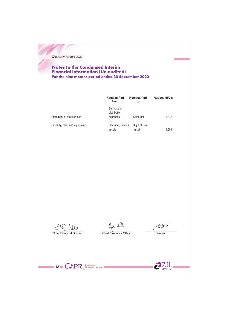## **Notes to the Condensed Interim** Financial Information (Un-audited) For the nine months period ended 30 September 2020

|                               | <b>Reclassified</b><br>from             | <b>Reclassified</b><br>to | Rupees 000's |
|-------------------------------|-----------------------------------------|---------------------------|--------------|
| Statement of profit or loss   | Selling and<br>distribution<br>expenses | Sales-net                 | 6.878        |
| Property, plant and equipment | Operating finance<br>assets             | Right of use<br>asset     | 4,581        |

 $242$  Ww. Chief Financial Officer

 $HQ$ Director

Chief Executive Officer